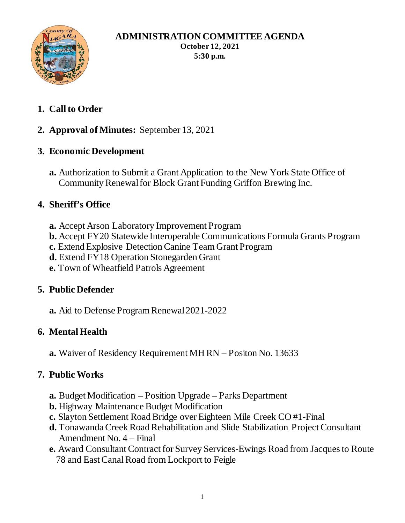

#### **ADMINISTRATION COMMITTEE AGENDA October 12, 2021 5:30 p.m.**

- **1. Call to Order**
- **2. Approval of Minutes:** September 13, 2021
- **3. Economic Development**
	- **a.** Authorization to Submit a Grant Application to the New York State Office of Community Renewal for Block Grant Funding Griffon Brewing Inc.

## **4. Sheriff's Office**

- **a.** Accept Arson Laboratory Improvement Program
- **b.** Accept FY20 Statewide Interoperable Communications Formula Grants Program
- **c.** Extend Explosive Detection Canine Team Grant Program
- **d.** Extend FY18 Operation Stonegarden Grant
- **e.** Town of Wheatfield Patrols Agreement

### **5. Public Defender**

**a.** Aid to Defense Program Renewal 2021-2022

## **6. Mental Health**

**a.** Waiver of Residency Requirement MH RN – Positon No. 13633

## **7. Public Works**

- **a.** Budget Modification Position Upgrade Parks Department
- **b.** Highway Maintenance Budget Modification
- **c.** Slayton Settlement Road Bridge over Eighteen Mile Creek CO #1-Final
- **d.** Tonawanda Creek Road Rehabilitation and Slide Stabilization Project Consultant Amendment No. 4 – Final
- **e.** Award Consultant Contract for Survey Services-Ewings Road from Jacques to Route 78 and East Canal Road from Lockport to Feigle